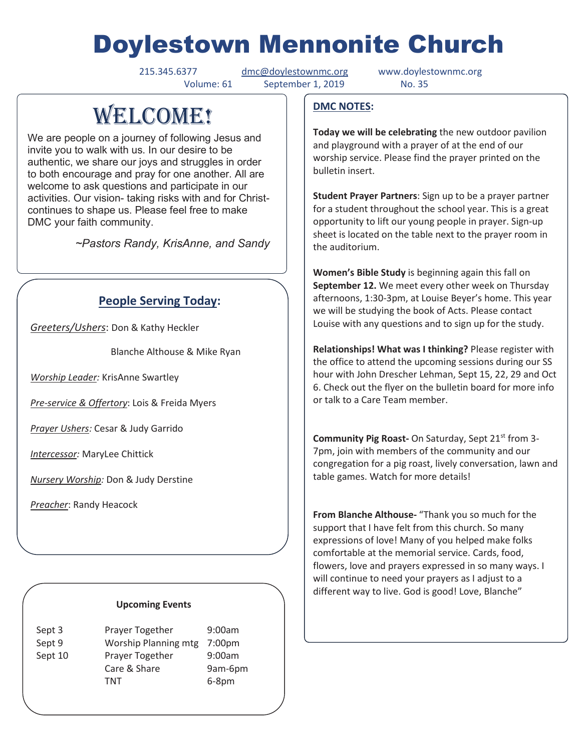# Doylestown Mennonite Church

215.345.6377 dmc@doylestownmc.org www.doylestownmc.org Volume: 61 September 1, 2019 No. 35

## **WELCOME!**

We are people on a journey of following Jesus and invite you to walk with us. In our desire to be authentic, we share our joys and struggles in order to both encourage and pray for one another. All are welcome to ask questions and participate in our activities. Our vision- taking risks with and for Christcontinues to shape us. Please feel free to make DMC your faith community.

 *~Pastors Randy, KrisAnne, and Sandy* 

## **People Serving Today:**

*Greeters/Ushers*: Don & Kathy Heckler

Blanche Althouse & Mike Ryan

*Worship Leader:* KrisAnne Swartley

*Pre-service & Offertory*: Lois & Freida Myers

*Prayer Ushers:* Cesar & Judy Garrido

*Intercessor:* MaryLee Chittick

*Nursery Worship:* Don & Judy Derstine

*Preacher*: Randy Heacock

#### **Upcoming Events**

| Sept 3<br>Sept 9 | Prayer Together<br>Worship Planning mtg | 9:00am<br>7:00 <sub>pm</sub> |
|------------------|-----------------------------------------|------------------------------|
| Sept 10          | Prayer Together                         | 9:00am                       |
|                  | Care & Share<br>TNT                     | 9am-6pm<br>$6-8$ pm          |

#### **DMC NOTES:**

**Today we will be celebrating** the new outdoor pavilion and playground with a prayer of at the end of our worship service. Please find the prayer printed on the bulletin insert.

**Student Prayer Partners**: Sign up to be a prayer partner for a student throughout the school year. This is a great opportunity to lift our young people in prayer. Sign-up sheet is located on the table next to the prayer room in the auditorium.

**Women's Bible Study** is beginning again this fall on **September 12.** We meet every other week on Thursday afternoons, 1:30-3pm, at Louise Beyer's home. This year we will be studying the book of Acts. Please contact Louise with any questions and to sign up for the study.

**Relationships! What was I thinking?** Please register with the office to attend the upcoming sessions during our SS hour with John Drescher Lehman, Sept 15, 22, 29 and Oct 6. Check out the flyer on the bulletin board for more info or talk to a Care Team member.

**Community Pig Roast-** On Saturday, Sept 21<sup>st</sup> from 3-7pm, join with members of the community and our congregation for a pig roast, lively conversation, lawn and table games. Watch for more details!

**From Blanche Althouse-** "Thank you so much for the support that I have felt from this church. So many expressions of love! Many of you helped make folks comfortable at the memorial service. Cards, food, flowers, love and prayers expressed in so many ways. I will continue to need your prayers as I adjust to a different way to live. God is good! Love, Blanche"